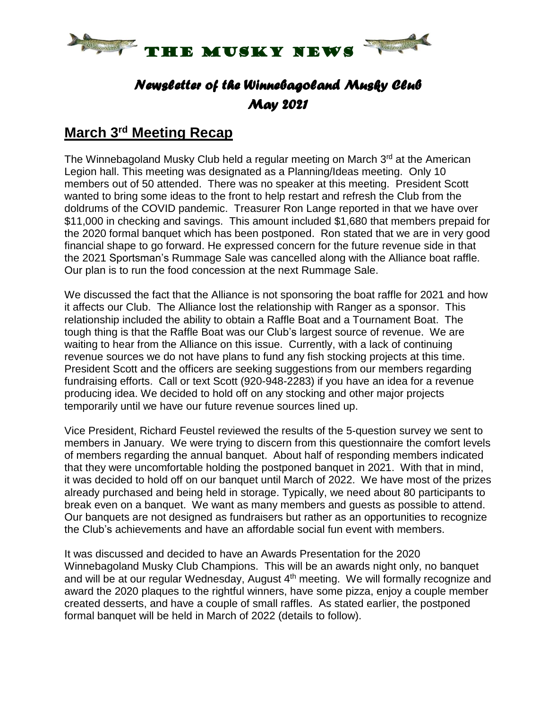

## *Newsletter of the Winnebagoland Musky Club May 2021*

#### **March 3 rd Meeting Recap**

The Winnebagoland Musky Club held a regular meeting on March 3<sup>rd</sup> at the American Legion hall. This meeting was designated as a Planning/Ideas meeting. Only 10 members out of 50 attended. There was no speaker at this meeting. President Scott wanted to bring some ideas to the front to help restart and refresh the Club from the doldrums of the COVID pandemic. Treasurer Ron Lange reported in that we have over \$11,000 in checking and savings. This amount included \$1,680 that members prepaid for the 2020 formal banquet which has been postponed. Ron stated that we are in very good financial shape to go forward. He expressed concern for the future revenue side in that the 2021 Sportsman's Rummage Sale was cancelled along with the Alliance boat raffle. Our plan is to run the food concession at the next Rummage Sale.

We discussed the fact that the Alliance is not sponsoring the boat raffle for 2021 and how it affects our Club. The Alliance lost the relationship with Ranger as a sponsor. This relationship included the ability to obtain a Raffle Boat and a Tournament Boat. The tough thing is that the Raffle Boat was our Club's largest source of revenue. We are waiting to hear from the Alliance on this issue. Currently, with a lack of continuing revenue sources we do not have plans to fund any fish stocking projects at this time. President Scott and the officers are seeking suggestions from our members regarding fundraising efforts. Call or text Scott (920-948-2283) if you have an idea for a revenue producing idea. We decided to hold off on any stocking and other major projects temporarily until we have our future revenue sources lined up.

Vice President, Richard Feustel reviewed the results of the 5-question survey we sent to members in January. We were trying to discern from this questionnaire the comfort levels of members regarding the annual banquet. About half of responding members indicated that they were uncomfortable holding the postponed banquet in 2021. With that in mind, it was decided to hold off on our banquet until March of 2022. We have most of the prizes already purchased and being held in storage. Typically, we need about 80 participants to break even on a banquet. We want as many members and guests as possible to attend. Our banquets are not designed as fundraisers but rather as an opportunities to recognize the Club's achievements and have an affordable social fun event with members.

It was discussed and decided to have an Awards Presentation for the 2020 Winnebagoland Musky Club Champions. This will be an awards night only, no banquet and will be at our regular Wednesday, August 4<sup>th</sup> meeting. We will formally recognize and award the 2020 plaques to the rightful winners, have some pizza, enjoy a couple member created desserts, and have a couple of small raffles. As stated earlier, the postponed formal banquet will be held in March of 2022 (details to follow).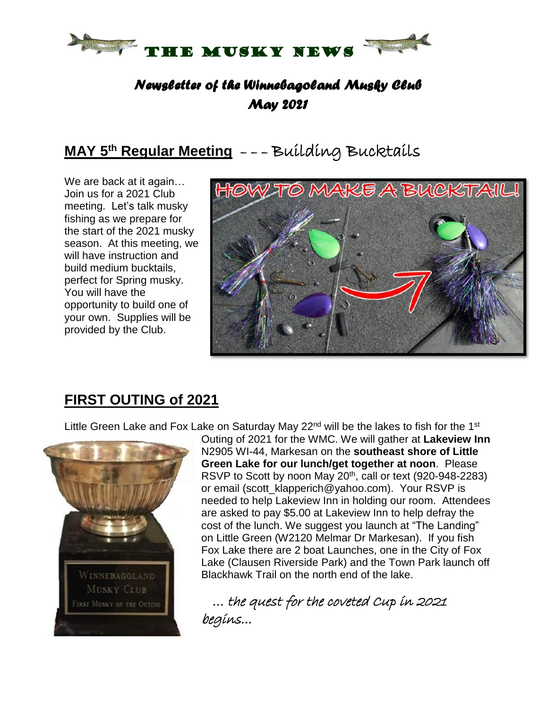

### *Newsletter of the Winnebagoland Musky Club May 2021*

# **MAY 5 th Regular Meeting** – – – Building Bucktails

We are back at it again… Join us for a 2021 Club meeting. Let's talk musky fishing as we prepare for the start of the 2021 musky season. At this meeting, we will have instruction and build medium bucktails, perfect for Spring musky. You will have the opportunity to build one of your own. Supplies will be provided by the Club.



### **FIRST OUTING of 2021**

Little Green Lake and Fox Lake on Saturday May 22<sup>nd</sup> will be the lakes to fish for the 1<sup>st</sup>



Outing of 2021 for the WMC. We will gather at **Lakeview Inn** N2905 WI-44, Markesan on the **southeast shore of Little Green Lake for our lunch/get together at noon**. Please RSVP to Scott by noon May 20<sup>th</sup>, call or text (920-948-2283) or email (scott\_klapperich@yahoo.com). Your RSVP is needed to help Lakeview Inn in holding our room. Attendees are asked to pay \$5.00 at Lakeview Inn to help defray the cost of the lunch. We suggest you launch at "The Landing" on Little Green (W2120 Melmar Dr Markesan). If you fish Fox Lake there are 2 boat Launches, one in the City of Fox Lake (Clausen Riverside Park) and the Town Park launch off Blackhawk Trail on the north end of the lake.

 … the quest for the coveted Cup in 2021 begins...